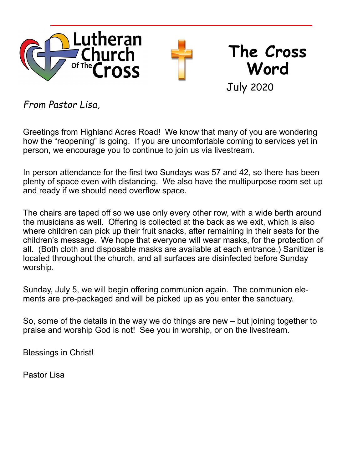

*From Pastor Lisa,*

Greetings from Highland Acres Road! We know that many of you are wondering how the "reopening" is going. If you are uncomfortable coming to services yet in person, we encourage you to continue to join us via livestream.

In person attendance for the first two Sundays was 57 and 42, so there has been plenty of space even with distancing. We also have the multipurpose room set up and ready if we should need overflow space.

The chairs are taped off so we use only every other row, with a wide berth around the musicians as well. Offering is collected at the back as we exit, which is also where children can pick up their fruit snacks, after remaining in their seats for the children's message. We hope that everyone will wear masks, for the protection of all. (Both cloth and disposable masks are available at each entrance.) Sanitizer is located throughout the church, and all surfaces are disinfected before Sunday worship.

Sunday, July 5, we will begin offering communion again. The communion elements are pre-packaged and will be picked up as you enter the sanctuary.

So, some of the details in the way we do things are new – but joining together to praise and worship God is not! See you in worship, or on the livestream.

Blessings in Christ!

Pastor Lisa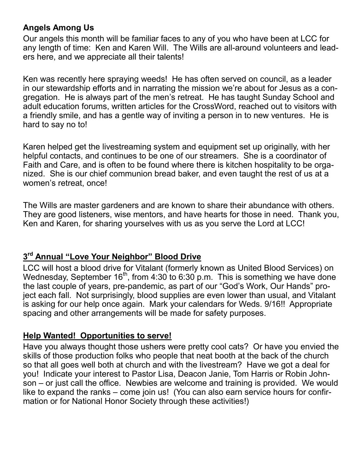# **Angels Among Us**

Our angels this month will be familiar faces to any of you who have been at LCC for any length of time: Ken and Karen Will. The Wills are all-around volunteers and leaders here, and we appreciate all their talents!

Ken was recently here spraying weeds! He has often served on council, as a leader in our stewardship efforts and in narrating the mission we're about for Jesus as a congregation. He is always part of the men's retreat. He has taught Sunday School and adult education forums, written articles for the CrossWord, reached out to visitors with a friendly smile, and has a gentle way of inviting a person in to new ventures. He is hard to say no to!

Karen helped get the livestreaming system and equipment set up originally, with her helpful contacts, and continues to be one of our streamers. She is a coordinator of Faith and Care, and is often to be found where there is kitchen hospitality to be organized. She is our chief communion bread baker, and even taught the rest of us at a women's retreat, once!

The Wills are master gardeners and are known to share their abundance with others. They are good listeners, wise mentors, and have hearts for those in need. Thank you, Ken and Karen, for sharing yourselves with us as you serve the Lord at LCC!

# **3 rd Annual "Love Your Neighbor" Blood Drive**

LCC will host a blood drive for Vitalant (formerly known as United Blood Services) on Wednesday, September  $16<sup>th</sup>$ , from 4:30 to 6:30 p.m. This is something we have done the last couple of years, pre-pandemic, as part of our "God's Work, Our Hands" project each fall. Not surprisingly, blood supplies are even lower than usual, and Vitalant is asking for our help once again. Mark your calendars for Weds. 9/16!! Appropriate spacing and other arrangements will be made for safety purposes.

## **Help Wanted! Opportunities to serve!**

Have you always thought those ushers were pretty cool cats? Or have you envied the skills of those production folks who people that neat booth at the back of the church so that all goes well both at church and with the livestream? Have we got a deal for you! Indicate your interest to Pastor Lisa, Deacon Janie, Tom Harris or Robin Johnson – or just call the office. Newbies are welcome and training is provided. We would like to expand the ranks – come join us! (You can also earn service hours for confirmation or for National Honor Society through these activities!)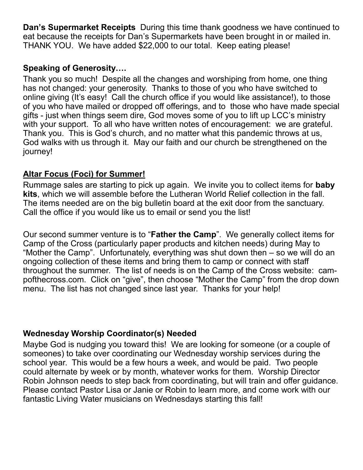**Dan's Supermarket Receipts** During this time thank goodness we have continued to eat because the receipts for Dan's Supermarkets have been brought in or mailed in. THANK YOU. We have added \$22,000 to our total. Keep eating please!

## **Speaking of Generosity….**

Thank you so much! Despite all the changes and worshiping from home, one thing has not changed: your generosity. Thanks to those of you who have switched to online giving (It's easy! Call the church office if you would like assistance!), to those of you who have mailed or dropped off offerings, and to those who have made special gifts - just when things seem dire, God moves some of you to lift up LCC's ministry with your support. To all who have written notes of encouragement: we are grateful. Thank you. This is God's church, and no matter what this pandemic throws at us, God walks with us through it. May our faith and our church be strengthened on the journey!

## **Altar Focus (Foci) for Summer!**

Rummage sales are starting to pick up again. We invite you to collect items for **baby kits**, which we will assemble before the Lutheran World Relief collection in the fall. The items needed are on the big bulletin board at the exit door from the sanctuary. Call the office if you would like us to email or send you the list!

Our second summer venture is to "**Father the Camp**". We generally collect items for Camp of the Cross (particularly paper products and kitchen needs) during May to "Mother the Camp". Unfortunately, everything was shut down then – so we will do an ongoing collection of these items and bring them to camp or connect with staff throughout the summer. The list of needs is on the Camp of the Cross website: campofthecross.com. Click on "give", then choose "Mother the Camp" from the drop down menu. The list has not changed since last year. Thanks for your help!

## **Wednesday Worship Coordinator(s) Needed**

Maybe God is nudging you toward this! We are looking for someone (or a couple of someones) to take over coordinating our Wednesday worship services during the school year. This would be a few hours a week, and would be paid. Two people could alternate by week or by month, whatever works for them. Worship Director Robin Johnson needs to step back from coordinating, but will train and offer guidance. Please contact Pastor Lisa or Janie or Robin to learn more, and come work with our fantastic Living Water musicians on Wednesdays starting this fall!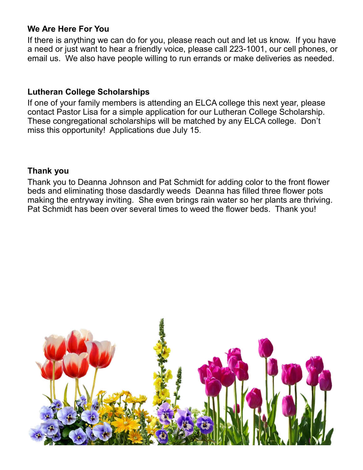## **We Are Here For You**

If there is anything we can do for you, please reach out and let us know. If you have a need or just want to hear a friendly voice, please call 223-1001, our cell phones, or email us. We also have people willing to run errands or make deliveries as needed.

### **Lutheran College Scholarships**

If one of your family members is attending an ELCA college this next year, please contact Pastor Lisa for a simple application for our Lutheran College Scholarship. These congregational scholarships will be matched by any ELCA college. Don't miss this opportunity! Applications due July 15.

#### **Thank you**

Thank you to Deanna Johnson and Pat Schmidt for adding color to the front flower beds and eliminating those dasdardly weeds Deanna has filled three flower pots making the entryway inviting. She even brings rain water so her plants are thriving. Pat Schmidt has been over several times to weed the flower beds. Thank you!

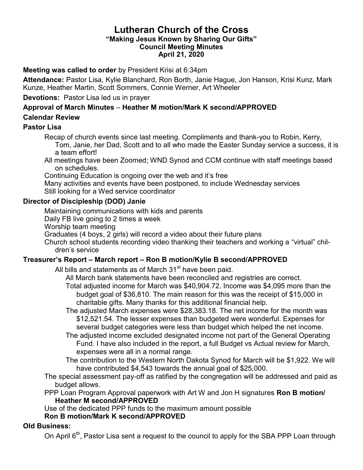#### **Lutheran Church of the Cross "Making Jesus Known by Sharing Our Gifts" Council Meeting Minutes April 21, 2020**

#### **Meeting was called to order** by President Krisi at 6:34pm

**Attendance:** Pastor Lisa, Kylie Blanchard, Ron Borth, Janie Hague, Jon Hanson, Krisi Kunz, Mark Kunze, Heather Martin, Scott Sommers, Connie Werner, Art Wheeler

#### **Devotions:** Pastor Lisa led us in prayer

# **Approval of March Minutes** – **Heather M motion/Mark K second/APPROVED**

#### **Calendar Review**

#### **Pastor Lisa**

Recap of church events since last meeting. Compliments and thank-you to Robin, Kerry, Tom, Janie, her Dad, Scott and to all who made the Easter Sunday service a success, it is a team effort!

All meetings have been Zoomed; WND Synod and CCM continue with staff meetings based on schedules.

Continuing Education is ongoing over the web and it's free

Many activities and events have been postponed, to include Wednesday services Still looking for a Wed service coordinator

#### **Director of Discipleship (DOD) Janie**

Maintaining communications with kids and parents

Daily FB live going to 2 times a week

Worship team meeting

Graduates (4 boys, 2 girls) will record a video about their future plans

Church school students recording video thanking their teachers and working a "virtual" children's service

#### **Treasurer's Report – March report – Ron B motion/Kylie B second/APPROVED**

All bills and statements as of March 31<sup>st</sup> have been paid.

All March bank statements have been reconciled and registries are correct.

Total adjusted income for March was \$40,904.72. Income was \$4,095 more than the budget goal of \$36,810. The main reason for this was the receipt of \$15,000 in charitable gifts. Many thanks for this additional financial help.

The adjusted March expenses were \$28,383.18. The net income for the month was \$12,521.54. The lesser expenses than budgeted were wonderful. Expenses for several budget categories were less than budget which helped the net income.

The adjusted income excluded designated income not part of the General Operating Fund. I have also included in the report, a full Budget vs Actual review for March, expenses were all in a normal range.

The contribution to the Western North Dakota Synod for March will be \$1,922. We will have contributed \$4,543 towards the annual goal of \$25,000.

The special assessment pay-off as ratified by the congregation will be addressed and paid as budget allows.

PPP Loan Program Approval paperwork with Art W and Jon H signatures **Ron B motion/ Heather M second/APPROVED**

Use of the dedicated PPP funds to the maximum amount possible

#### **Ron B motion/Mark K second/APPROVED**

#### **Old Business:**

On April 6<sup>th</sup>, Pastor Lisa sent a request to the council to apply for the SBA PPP Loan through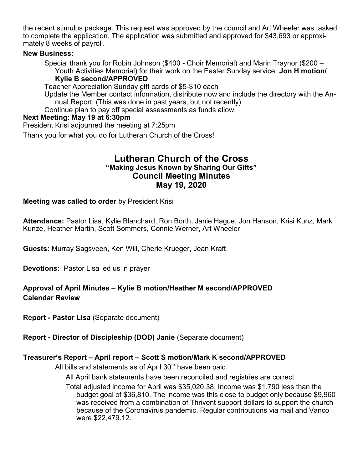the recent stimulus package. This request was approved by the council and Art Wheeler was tasked to complete the application. The application was submitted and approved for \$43,693 or approximately 8 weeks of payroll.

#### **New Business:**

Special thank you for Robin Johnson (\$400 - Choir Memorial) and Marin Traynor (\$200 – Youth Activities Memorial) for their work on the Easter Sunday service. **Jon H motion/**

#### **Kylie B second/APPROVED**

Teacher Appreciation Sunday gift cards of \$5-\$10 each

Update the Member contact information, distribute now and include the directory with the Annual Report. (This was done in past years, but not recently)

Continue plan to pay off special assessments as funds allow.

#### **Next Meeting: May 19 at 6:30pm**

President Krisi adjourned the meeting at 7:25pm

Thank you for what you do for Lutheran Church of the Cross!

#### **Lutheran Church of the Cross "Making Jesus Known by Sharing Our Gifts" Council Meeting Minutes May 19, 2020**

#### **Meeting was called to order** by President Krisi

**Attendance:** Pastor Lisa, Kylie Blanchard, Ron Borth, Janie Hague, Jon Hanson, Krisi Kunz, Mark Kunze, Heather Martin, Scott Sommers, Connie Werner, Art Wheeler

**Guests:** Murray Sagsveen, Ken Will, Cherie Krueger, Jean Kraft

**Devotions:** Pastor Lisa led us in prayer

#### **Approval of April Minutes** – **Kylie B motion/Heather M second/APPROVED Calendar Review**

**Report - Pastor Lisa** (Separate document)

**Report - Director of Discipleship (DOD) Janie** (Separate document)

#### **Treasurer's Report – April report – Scott S motion/Mark K second/APPROVED**

All bills and statements as of April  $30<sup>th</sup>$  have been paid.

All April bank statements have been reconciled and registries are correct.

Total adjusted income for April was \$35,020.38. Income was \$1,790 less than the budget goal of \$36,810. The income was this close to budget only because \$9,960 was received from a combination of Thrivent support dollars to support the church because of the Coronavirus pandemic. Regular contributions via mail and Vanco were \$22,479.12.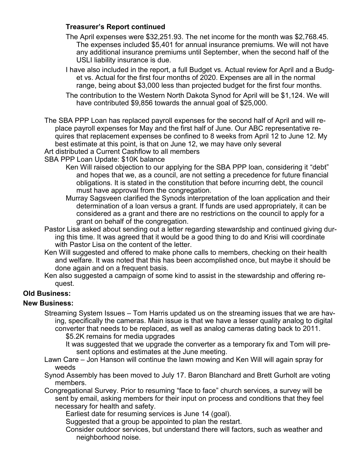#### **Treasurer's Report continued**

The April expenses were \$32,251.93. The net income for the month was \$2,768.45. The expenses included \$5,401 for annual insurance premiums. We will not have any additional insurance premiums until September, when the second half of the USLI liability insurance is due.

I have also included in the report, a full Budget vs. Actual review for April and a Budget vs. Actual for the first four months of 2020. Expenses are all in the normal range, being about \$3,000 less than projected budget for the first four months.

The contribution to the Western North Dakota Synod for April will be \$1,124. We will have contributed \$9,856 towards the annual goal of \$25,000.

The SBA PPP Loan has replaced payroll expenses for the second half of April and will replace payroll expenses for May and the first half of June. Our ABC representative requires that replacement expenses be confined to 8 weeks from April 12 to June 12. My best estimate at this point, is that on June 12, we may have only several Art distributed a Current Cashflow to all members

SBA PPP Loan Update: \$10K balance

- Ken Will raised objection to our applying for the SBA PPP loan, considering it "debt" and hopes that we, as a council, are not setting a precedence for future financial obligations. It is stated in the constitution that before incurring debt, the council must have approval from the congregation.
- Murray Sagsveen clarified the Synods interpretation of the loan application and their determination of a loan versus a grant. If funds are used appropriately, it can be considered as a grant and there are no restrictions on the council to apply for a grant on behalf of the congregation.
- Pastor Lisa asked about sending out a letter regarding stewardship and continued giving during this time. It was agreed that it would be a good thing to do and Krisi will coordinate with Pastor Lisa on the content of the letter.
- Ken Will suggested and offered to make phone calls to members, checking on their health and welfare. It was noted that this has been accomplished once, but maybe it should be done again and on a frequent basis.
- Ken also suggested a campaign of some kind to assist in the stewardship and offering request.

#### **Old Business:**

#### **New Business:**

Streaming System Issues – Tom Harris updated us on the streaming issues that we are having, specifically the cameras. Main issue is that we have a lesser quality analog to digital converter that needs to be replaced, as well as analog cameras dating back to 2011. \$5.2K remains for media upgrades

It was suggested that we upgrade the converter as a temporary fix and Tom will present options and estimates at the June meeting.

- Lawn Care Jon Hanson will continue the lawn mowing and Ken Will will again spray for weeds
- Synod Assembly has been moved to July 17. Baron Blanchard and Brett Gurholt are voting members.

Congregational Survey. Prior to resuming "face to face" church services, a survey will be sent by email, asking members for their input on process and conditions that they feel necessary for health and safety.

Earliest date for resuming services is June 14 (goal).

Suggested that a group be appointed to plan the restart.

Consider outdoor services, but understand there will factors, such as weather and neighborhood noise.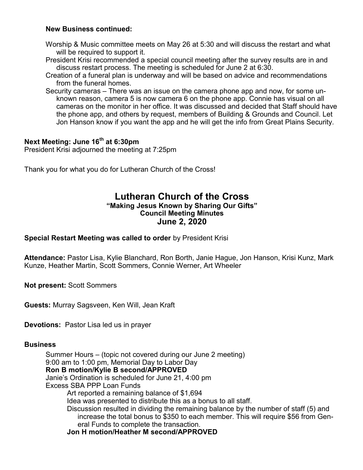#### **New Business continued:**

- Worship & Music committee meets on May 26 at 5:30 and will discuss the restart and what will be required to support it.
- President Krisi recommended a special council meeting after the survey results are in and discuss restart process. The meeting is scheduled for June 2 at 6:30.
- Creation of a funeral plan is underway and will be based on advice and recommendations from the funeral homes.
- Security cameras There was an issue on the camera phone app and now, for some unknown reason, camera 5 is now camera 6 on the phone app. Connie has visual on all cameras on the monitor in her office. It was discussed and decided that Staff should have the phone app, and others by request, members of Building & Grounds and Council. Let Jon Hanson know if you want the app and he will get the info from Great Plains Security.

#### **Next Meeting: June 16th at 6:30pm**

President Krisi adjourned the meeting at 7:25pm

Thank you for what you do for Lutheran Church of the Cross!

#### **Lutheran Church of the Cross "Making Jesus Known by Sharing Our Gifts" Council Meeting Minutes June 2, 2020**

**Special Restart Meeting was called to order** by President Krisi

**Attendance:** Pastor Lisa, Kylie Blanchard, Ron Borth, Janie Hague, Jon Hanson, Krisi Kunz, Mark Kunze, Heather Martin, Scott Sommers, Connie Werner, Art Wheeler

**Not present:** Scott Sommers

**Guests:** Murray Sagsveen, Ken Will, Jean Kraft

**Devotions:** Pastor Lisa led us in prayer

#### **Business**

Summer Hours – (topic not covered during our June 2 meeting) 9:00 am to 1:00 pm, Memorial Day to Labor Day **Ron B motion/Kylie B second/APPROVED** Janie's Ordination is scheduled for June 21, 4:00 pm Excess SBA PPP Loan Funds Art reported a remaining balance of \$1,694 Idea was presented to distribute this as a bonus to all staff. Discussion resulted in dividing the remaining balance by the number of staff (5) and increase the total bonus to \$350 to each member. This will require \$56 from General Funds to complete the transaction. **Jon H motion/Heather M second/APPROVED**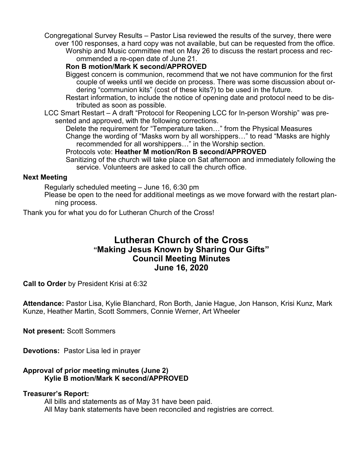Congregational Survey Results – Pastor Lisa reviewed the results of the survey, there were over 100 responses, a hard copy was not available, but can be requested from the office.

Worship and Music committee met on May 26 to discuss the restart process and recommended a re-open date of June 21.

#### **Ron B motion/Mark K second/APPROVED**

Biggest concern is communion, recommend that we not have communion for the first couple of weeks until we decide on process. There was some discussion about ordering "communion kits" (cost of these kits?) to be used in the future.

Restart information, to include the notice of opening date and protocol need to be distributed as soon as possible.

LCC Smart Restart – A draft "Protocol for Reopening LCC for In-person Worship" was presented and approved, with the following corrections.

Delete the requirement for "Temperature taken..." from the Physical Measures Change the wording of "Masks worn by all worshippers…" to read "Masks are highly recommended for all worshippers…" in the Worship section.

Protocols vote: **Heather M motion/Ron B second/APPROVED**

Sanitizing of the church will take place on Sat afternoon and immediately following the service. Volunteers are asked to call the church office.

#### **Next Meeting**

Regularly scheduled meeting – June 16, 6:30 pm

Please be open to the need for additional meetings as we move forward with the restart planning process.

Thank you for what you do for Lutheran Church of the Cross!

### **Lutheran Church of the Cross "Making Jesus Known by Sharing Our Gifts" Council Meeting Minutes June 16, 2020**

**Call to Order** by President Krisi at 6:32

**Attendance:** Pastor Lisa, Kylie Blanchard, Ron Borth, Janie Hague, Jon Hanson, Krisi Kunz, Mark Kunze, Heather Martin, Scott Sommers, Connie Werner, Art Wheeler

**Not present:** Scott Sommers

**Devotions:** Pastor Lisa led in prayer

#### **Approval of prior meeting minutes (June 2) Kylie B motion/Mark K second/APPROVED**

#### **Treasurer's Report:**

All bills and statements as of May 31 have been paid. All May bank statements have been reconciled and registries are correct.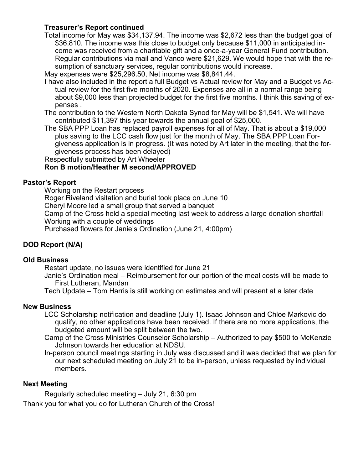#### **Treasurer's Report continued**

Total income for May was \$34,137.94. The income was \$2,672 less than the budget goal of \$36,810. The income was this close to budget only because \$11,000 in anticipated income was received from a charitable gift and a once-a-year General Fund contribution. Regular contributions via mail and Vanco were \$21,629. We would hope that with the resumption of sanctuary services, regular contributions would increase.

May expenses were \$25,296.50, Net income was \$8,841.44.

- I have also included in the report a full Budget vs Actual review for May and a Budget vs Actual review for the first five months of 2020. Expenses are all in a normal range being about \$9,000 less than projected budget for the first five months. I think this saving of expenses .
- The contribution to the Western North Dakota Synod for May will be \$1,541. We will have contributed \$11,397 this year towards the annual goal of \$25,000.
- The SBA PPP Loan has replaced payroll expenses for all of May. That is about a \$19,000 plus saving to the LCC cash flow just for the month of May. The SBA PPP Loan Forgiveness application is in progress. (It was noted by Art later in the meeting, that the forgiveness process has been delayed)

Respectfully submitted by Art Wheeler

#### **Ron B motion/Heather M second/APPROVED**

#### **Pastor's Report**

Working on the Restart process Roger Riveland visitation and burial took place on June 10 Cheryl Moore led a small group that served a banquet Camp of the Cross held a special meeting last week to address a large donation shortfall Working with a couple of weddings Purchased flowers for Janie's Ordination (June 21, 4:00pm)

#### **DOD Report (N/A)**

#### **Old Business**

Restart update, no issues were identified for June 21

Janie's Ordination meal – Reimbursement for our portion of the meal costs will be made to First Lutheran, Mandan

Tech Update – Tom Harris is still working on estimates and will present at a later date

#### **New Business**

- LCC Scholarship notification and deadline (July 1). Isaac Johnson and Chloe Markovic do qualify, no other applications have been received. If there are no more applications, the budgeted amount will be split between the two.
- Camp of the Cross Ministries Counselor Scholarship Authorized to pay \$500 to McKenzie Johnson towards her education at NDSU.
- In-person council meetings starting in July was discussed and it was decided that we plan for our next scheduled meeting on July 21 to be in-person, unless requested by individual members.

#### **Next Meeting**

Regularly scheduled meeting – July 21, 6:30 pm Thank you for what you do for Lutheran Church of the Cross!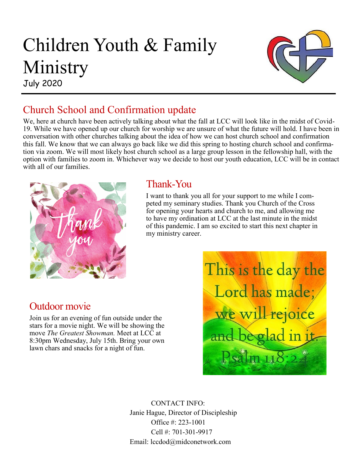# Children Youth & Family Ministry

July 2020



# Church School and Confirmation update

We, here at church have been actively talking about what the fall at LCC will look like in the midst of Covid-19. While we have opened up our church for worship we are unsure of what the future will hold. I have been in conversation with other churches talking about the idea of how we can host church school and confirmation this fall. We know that we can always go back like we did this spring to hosting church school and confirmation via zoom. We will most likely host church school as a large group lesson in the fellowship hall, with the option with families to zoom in. Whichever way we decide to host our youth education, LCC will be in contact with all of our families.



# Thank-You

I want to thank you all for your support to me while I competed my seminary studies. Thank you Church of the Cross for opening your hearts and church to me, and allowing me to have my ordination at LCC at the last minute in the midst of this pandemic. I am so excited to start this next chapter in my ministry career.

# Outdoor movie

Join us for an evening of fun outside under the stars for a movie night. We will be showing the move *The Greatest Showman.* Meet at LCC at 8:30pm Wednesday, July 15th. Bring your own lawn chars and snacks for a night of fun.



CONTACT INFO: Janie Hague, Director of Discipleship Office #: 223-1001 Cell #: 701-301-9917 Email: lccdod@midconetwork.com